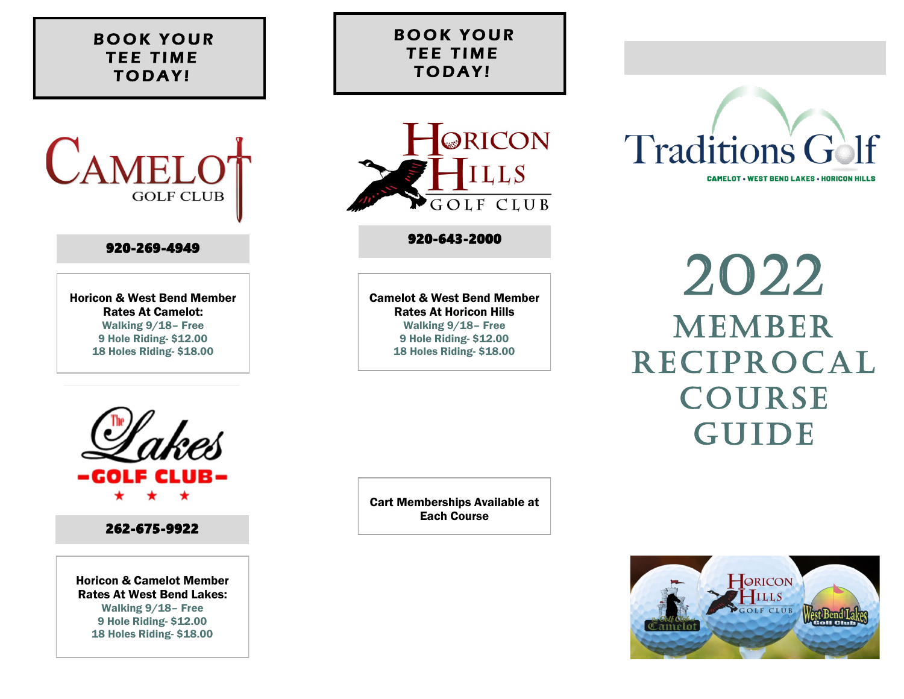## **BOOK YOUR TEE TIME TODAY!**



## 920-269-4949

Horicon & West Bend Member Rates At Camelot: Walking 9/18– Free 9 Hole Riding- \$12.00 18 Holes Riding- \$18.00



## 920-643-2000

Camelot & West Bend Member Rates At Horicon Hills Walking 9/18– Free 9 Hole Riding- \$12.00 18 Holes Riding- \$18.00



262-675-9922

Horicon & Camelot Member Rates At West Bend Lakes: Walking 9/18– Free 9 Hole Riding- \$12.00 18 Holes Riding- \$18.00

Cart Memberships Available at Each Course



2022 **MEMBER RECIPROCAL COURSE GUIDE**